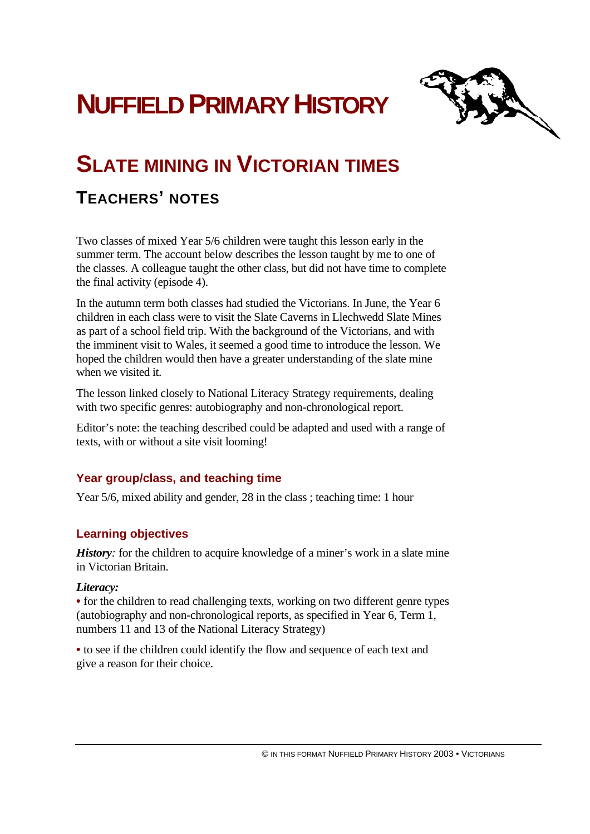# **NUFFIELD PRIMARY HISTORY**



## **SLATE MINING IN VICTORIAN TIMES**

### **TEACHERS' NOTES**

Two classes of mixed Year 5/6 children were taught this lesson early in the summer term. The account below describes the lesson taught by me to one of the classes. A colleague taught the other class, but did not have time to complete the final activity (episode 4).

In the autumn term both classes had studied the Victorians. In June, the Year 6 children in each class were to visit the Slate Caverns in Llechwedd Slate Mines as part of a school field trip. With the background of the Victorians, and with the imminent visit to Wales, it seemed a good time to introduce the lesson. We hoped the children would then have a greater understanding of the slate mine when we visited it.

The lesson linked closely to National Literacy Strategy requirements, dealing with two specific genres: autobiography and non-chronological report.

Editor's note: the teaching described could be adapted and used with a range of texts, with or without a site visit looming!

#### **Year group/class, and teaching time**

Year 5/6, mixed ability and gender, 28 in the class ; teaching time: 1 hour

#### **Learning objectives**

*History*: for the children to acquire knowledge of a miner's work in a slate mine in Victorian Britain.

#### *Literacy:*

**•** for the children to read challenging texts, working on two different genre types (autobiography and non-chronological reports, as specified in Year 6, Term 1, numbers 11 and 13 of the National Literacy Strategy)

**•** to see if the children could identify the flow and sequence of each text and give a reason for their choice.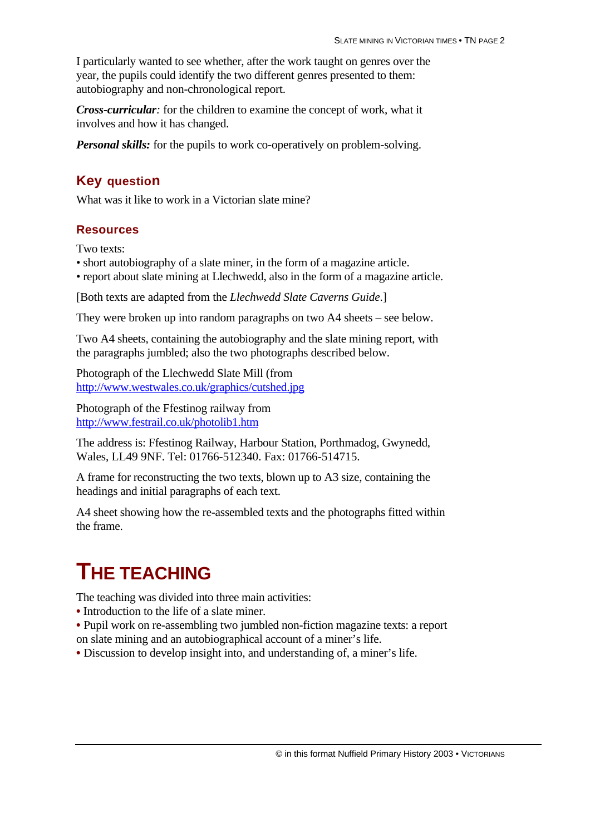I particularly wanted to see whether, after the work taught on genres over the year, the pupils could identify the two different genres presented to them: autobiography and non-chronological report.

*Cross-curricular:* for the children to examine the concept of work, what it involves and how it has changed.

*Personal skills:* for the pupils to work co-operatively on problem-solving.

#### **Key question**

What was it like to work in a Victorian slate mine?

#### **Resources**

Two texts:

- short autobiography of a slate miner, in the form of a magazine article.
- report about slate mining at Llechwedd, also in the form of a magazine article.

[Both texts are adapted from the *Llechwedd Slate Caverns Guide*.]

They were broken up into random paragraphs on two A4 sheets – see below.

Two A4 sheets, containing the autobiography and the slate mining report, with the paragraphs jumbled; also the two photographs described below.

Photograph of the Llechwedd Slate Mill (from http://www.westwales.co.uk/graphics/cutshed.jpg

Photograph of the Ffestinog railway from http://www.festrail.co.uk/photolib1.htm

The address is: Ffestinog Railway, Harbour Station, Porthmadog, Gwynedd, Wales, LL49 9NF. Tel: 01766-512340. Fax: 01766-514715.

A frame for reconstructing the two texts, blown up to A3 size, containing the headings and initial paragraphs of each text.

A4 sheet showing how the re-assembled texts and the photographs fitted within the frame.

### **THE TEACHING**

The teaching was divided into three main activities:

- **•** Introduction to the life of a slate miner.
- Pupil work on re-assembling two jumbled non-fiction magazine texts: a report
- on slate mining and an autobiographical account of a miner's life.
- Discussion to develop insight into, and understanding of, a miner's life.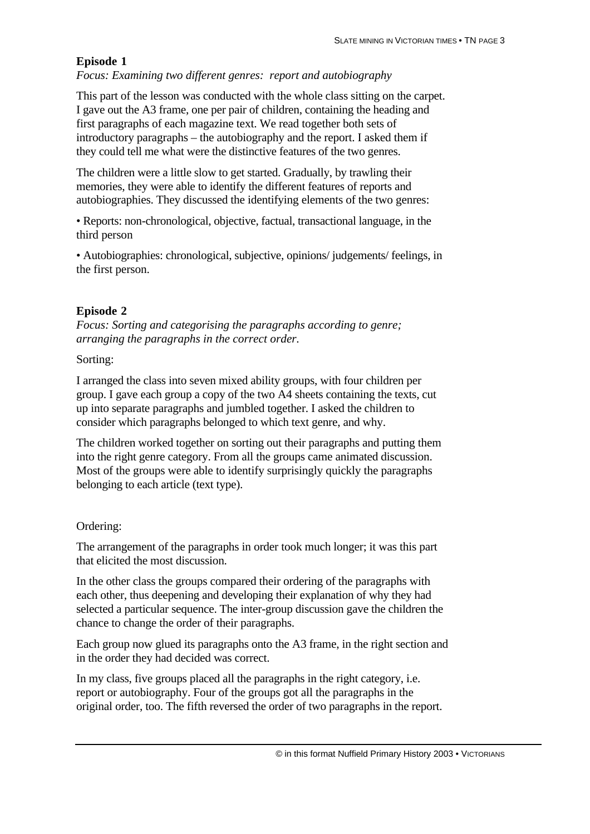#### **Episode 1**

*Focus: Examining two different genres: report and autobiography*

This part of the lesson was conducted with the whole class sitting on the carpet. I gave out the A3 frame, one per pair of children, containing the heading and first paragraphs of each magazine text. We read together both sets of introductory paragraphs – the autobiography and the report. I asked them if they could tell me what were the distinctive features of the two genres.

The children were a little slow to get started. Gradually, by trawling their memories, they were able to identify the different features of reports and autobiographies. They discussed the identifying elements of the two genres:

• Reports: non-chronological, objective, factual, transactional language, in the third person

• Autobiographies: chronological, subjective, opinions/ judgements/ feelings, in the first person.

#### **Episode 2**

*Focus: Sorting and categorising the paragraphs according to genre; arranging the paragraphs in the correct order.*

#### Sorting:

I arranged the class into seven mixed ability groups, with four children per group. I gave each group a copy of the two A4 sheets containing the texts, cut up into separate paragraphs and jumbled together. I asked the children to consider which paragraphs belonged to which text genre, and why.

The children worked together on sorting out their paragraphs and putting them into the right genre category. From all the groups came animated discussion. Most of the groups were able to identify surprisingly quickly the paragraphs belonging to each article (text type).

#### Ordering:

The arrangement of the paragraphs in order took much longer; it was this part that elicited the most discussion.

In the other class the groups compared their ordering of the paragraphs with each other, thus deepening and developing their explanation of why they had selected a particular sequence. The inter-group discussion gave the children the chance to change the order of their paragraphs.

Each group now glued its paragraphs onto the A3 frame, in the right section and in the order they had decided was correct.

In my class, five groups placed all the paragraphs in the right category, i.e. report or autobiography. Four of the groups got all the paragraphs in the original order, too. The fifth reversed the order of two paragraphs in the report.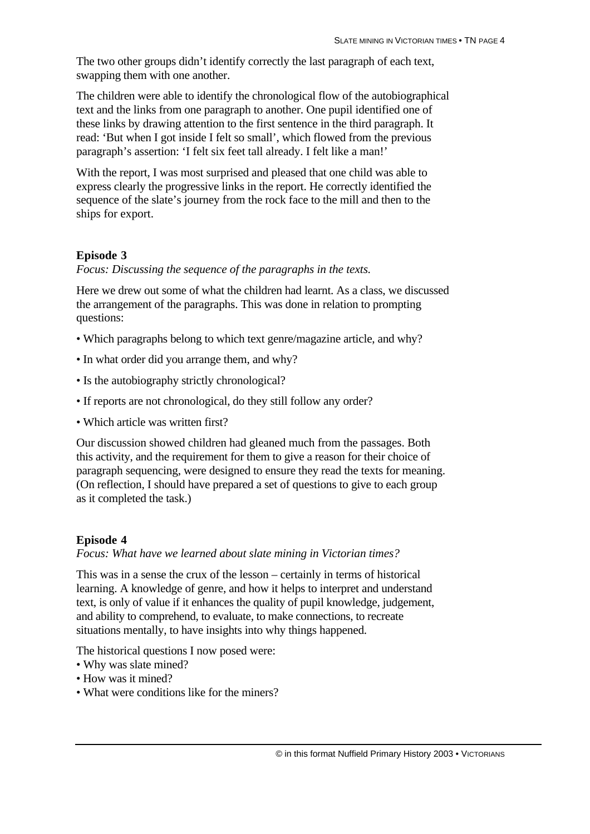The two other groups didn't identify correctly the last paragraph of each text, swapping them with one another.

The children were able to identify the chronological flow of the autobiographical text and the links from one paragraph to another. One pupil identified one of these links by drawing attention to the first sentence in the third paragraph. It read: 'But when I got inside I felt so small', which flowed from the previous paragraph's assertion: 'I felt six feet tall already. I felt like a man!'

With the report, I was most surprised and pleased that one child was able to express clearly the progressive links in the report. He correctly identified the sequence of the slate's journey from the rock face to the mill and then to the ships for export.

#### **Episode 3**

*Focus: Discussing the sequence of the paragraphs in the texts.*

Here we drew out some of what the children had learnt. As a class, we discussed the arrangement of the paragraphs. This was done in relation to prompting questions:

- Which paragraphs belong to which text genre/magazine article, and why?
- In what order did you arrange them, and why?
- Is the autobiography strictly chronological?
- If reports are not chronological, do they still follow any order?
- Which article was written first?

Our discussion showed children had gleaned much from the passages. Both this activity, and the requirement for them to give a reason for their choice of paragraph sequencing, were designed to ensure they read the texts for meaning. (On reflection, I should have prepared a set of questions to give to each group as it completed the task.)

#### **Episode 4**

*Focus: What have we learned about slate mining in Victorian times?*

This was in a sense the crux of the lesson – certainly in terms of historical learning. A knowledge of genre, and how it helps to interpret and understand text, is only of value if it enhances the quality of pupil knowledge, judgement, and ability to comprehend, to evaluate, to make connections, to recreate situations mentally, to have insights into why things happened.

The historical questions I now posed were:

- Why was slate mined?
- How was it mined?
- What were conditions like for the miners?